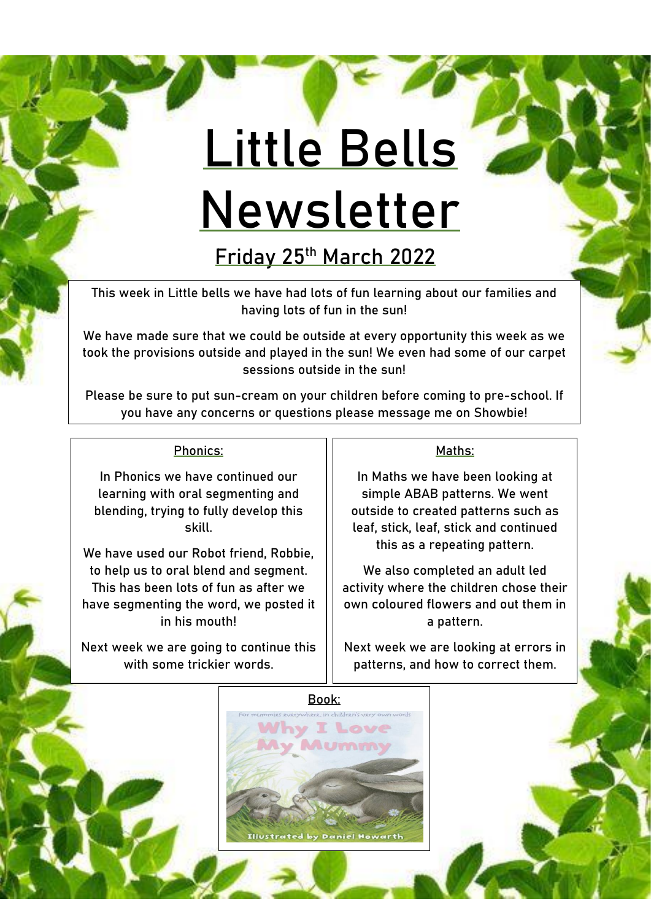# **Little Bells Newsletter**

**Friday 25th March 2022**

This week in Little bells we have had lots of fun learning about our families and having lots of fun in the sun!

We have made sure that we could be outside at every opportunity this week as we took the provisions outside and played in the sun! We even had some of our carpet sessions outside in the sun!

Please be sure to put sun-cream on your children before coming to pre-school. If you have any concerns or questions please message me on Showbie!

#### Phonics:

In Phonics we have continued our learning with oral segmenting and blending, trying to fully develop this skill.

We have used our Robot friend, Robbie, to help us to oral blend and segment. This has been lots of fun as after we have segmenting the word, we posted it in his mouth!

Next week we are going to continue this with some trickier words.

#### Maths:

In Maths we have been looking at simple ABAB patterns. We went outside to created patterns such as leaf, stick, leaf, stick and continued this as a repeating pattern.

We also completed an adult led activity where the children chose their own coloured flowers and out them in a pattern.

Next week we are looking at errors in patterns, and how to correct them.